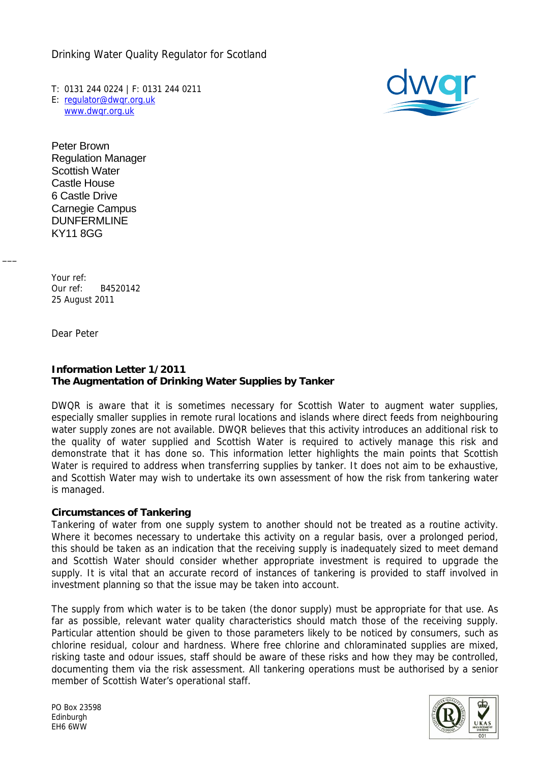Drinking Water Quality Regulator for Scotland

T: 0131 244 0224 | F: 0131 244 0211 E: [regulator@dwqr.org.uk](mailto:regulator@dwqr.org.uk) [www.dwqr.org.uk](http://www.dwqr.org.uk/)



Peter Brown Regulation Manager Scottish Water Castle House 6 Castle Drive Carnegie Campus DUNFERMLINE KY11 8GG

Your ref: Our ref: B4520142 25 August 2011

Dear Peter

 $\overline{\phantom{a}}$ 

# **Information Letter 1/2011 The Augmentation of Drinking Water Supplies by Tanker**

DWQR is aware that it is sometimes necessary for Scottish Water to augment water supplies, especially smaller supplies in remote rural locations and islands where direct feeds from neighbouring water supply zones are not available. DWQR believes that this activity introduces an additional risk to the quality of water supplied and Scottish Water is required to actively manage this risk and demonstrate that it has done so. This information letter highlights the main points that Scottish Water is required to address when transferring supplies by tanker. It does not aim to be exhaustive, and Scottish Water may wish to undertake its own assessment of how the risk from tankering water is managed.

## **Circumstances of Tankering**

Tankering of water from one supply system to another should not be treated as a routine activity. Where it becomes necessary to undertake this activity on a regular basis, over a prolonged period, this should be taken as an indication that the receiving supply is inadequately sized to meet demand and Scottish Water should consider whether appropriate investment is required to upgrade the supply. It is vital that an accurate record of instances of tankering is provided to staff involved in investment planning so that the issue may be taken into account.

The supply from which water is to be taken (the donor supply) must be appropriate for that use. As far as possible, relevant water quality characteristics should match those of the receiving supply. Particular attention should be given to those parameters likely to be noticed by consumers, such as chlorine residual, colour and hardness. Where free chlorine and chloraminated supplies are mixed, risking taste and odour issues, staff should be aware of these risks and how they may be controlled, documenting them via the risk assessment. All tankering operations must be authorised by a senior member of Scottish Water's operational staff.



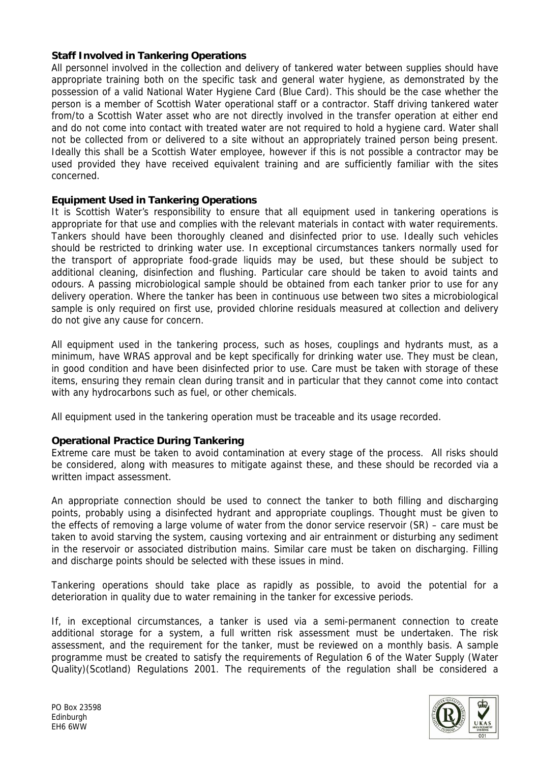# **Staff Involved in Tankering Operations**

All personnel involved in the collection and delivery of tankered water between supplies should have appropriate training both on the specific task and general water hygiene, as demonstrated by the possession of a valid National Water Hygiene Card (Blue Card). This should be the case whether the person is a member of Scottish Water operational staff or a contractor. Staff driving tankered water from/to a Scottish Water asset who are not directly involved in the transfer operation at either end and do not come into contact with treated water are not required to hold a hygiene card. Water shall not be collected from or delivered to a site without an appropriately trained person being present. Ideally this shall be a Scottish Water employee, however if this is not possible a contractor may be used provided they have received equivalent training and are sufficiently familiar with the sites concerned.

## **Equipment Used in Tankering Operations**

It is Scottish Water's responsibility to ensure that all equipment used in tankering operations is appropriate for that use and complies with the relevant materials in contact with water requirements. Tankers should have been thoroughly cleaned and disinfected prior to use. Ideally such vehicles should be restricted to drinking water use. In exceptional circumstances tankers normally used for the transport of appropriate food-grade liquids may be used, but these should be subject to additional cleaning, disinfection and flushing. Particular care should be taken to avoid taints and odours. A passing microbiological sample should be obtained from each tanker prior to use for any delivery operation. Where the tanker has been in continuous use between two sites a microbiological sample is only required on first use, provided chlorine residuals measured at collection and delivery do not give any cause for concern.

All equipment used in the tankering process, such as hoses, couplings and hydrants must, as a minimum, have WRAS approval and be kept specifically for drinking water use. They must be clean, in good condition and have been disinfected prior to use. Care must be taken with storage of these items, ensuring they remain clean during transit and in particular that they cannot come into contact with any hydrocarbons such as fuel, or other chemicals.

All equipment used in the tankering operation must be traceable and its usage recorded.

## **Operational Practice During Tankering**

Extreme care must be taken to avoid contamination at every stage of the process. All risks should be considered, along with measures to mitigate against these, and these should be recorded via a written impact assessment.

An appropriate connection should be used to connect the tanker to both filling and discharging points, probably using a disinfected hydrant and appropriate couplings. Thought must be given to the effects of removing a large volume of water from the donor service reservoir (SR) – care must be taken to avoid starving the system, causing vortexing and air entrainment or disturbing any sediment in the reservoir or associated distribution mains. Similar care must be taken on discharging. Filling and discharge points should be selected with these issues in mind.

Tankering operations should take place as rapidly as possible, to avoid the potential for a deterioration in quality due to water remaining in the tanker for excessive periods.

If, in exceptional circumstances, a tanker is used via a semi-permanent connection to create additional storage for a system, a full written risk assessment must be undertaken. The risk assessment, and the requirement for the tanker, must be reviewed on a monthly basis. A sample programme must be created to satisfy the requirements of Regulation 6 of the Water Supply (Water Quality)(Scotland) Regulations 2001. The requirements of the regulation shall be considered a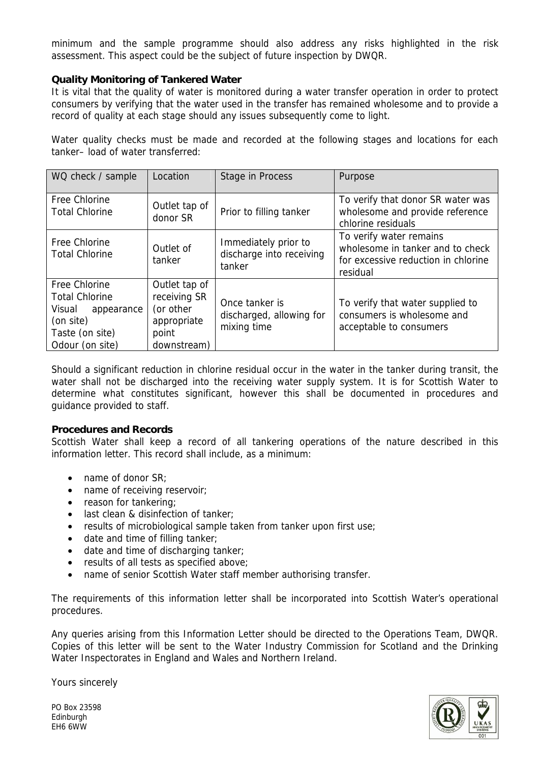minimum and the sample programme should also address any risks highlighted in the risk assessment. This aspect could be the subject of future inspection by DWQR.

### **Quality Monitoring of Tankered Water**

It is vital that the quality of water is monitored during a water transfer operation in order to protect consumers by verifying that the water used in the transfer has remained wholesome and to provide a record of quality at each stage should any issues subsequently come to light.

Water quality checks must be made and recorded at the following stages and locations for each tanker– load of water transferred:

| WQ check / sample                                                                                                        | Location                                                                          | Stage in Process                                           | Purpose                                                                                                        |
|--------------------------------------------------------------------------------------------------------------------------|-----------------------------------------------------------------------------------|------------------------------------------------------------|----------------------------------------------------------------------------------------------------------------|
| Free Chlorine<br><b>Total Chlorine</b>                                                                                   | Outlet tap of<br>donor SR                                                         | Prior to filling tanker                                    | To verify that donor SR water was<br>wholesome and provide reference<br>chlorine residuals                     |
| Free Chlorine<br><b>Total Chlorine</b>                                                                                   | Outlet of<br>tanker                                                               | Immediately prior to<br>discharge into receiving<br>tanker | To verify water remains<br>wholesome in tanker and to check<br>for excessive reduction in chlorine<br>residual |
| <b>Free Chlorine</b><br><b>Total Chlorine</b><br>Visual<br>appearance<br>(on site)<br>Taste (on site)<br>Odour (on site) | Outlet tap of<br>receiving SR<br>(or other<br>appropriate<br>point<br>downstream) | Once tanker is<br>discharged, allowing for<br>mixing time  | To verify that water supplied to<br>consumers is wholesome and<br>acceptable to consumers                      |

Should a significant reduction in chlorine residual occur in the water in the tanker during transit, the water shall not be discharged into the receiving water supply system. It is for Scottish Water to determine what constitutes significant, however this shall be documented in procedures and guidance provided to staff.

#### **Procedures and Records**

Scottish Water shall keep a record of all tankering operations of the nature described in this information letter. This record shall include, as a minimum:

- name of donor SR;
- name of receiving reservoir;
- reason for tankering:
- last clean & disinfection of tanker:
- results of microbiological sample taken from tanker upon first use;
- date and time of filling tanker;
- date and time of discharging tanker:
- results of all tests as specified above;
- name of senior Scottish Water staff member authorising transfer.

The requirements of this information letter shall be incorporated into Scottish Water's operational procedures.

Any queries arising from this Information Letter should be directed to the Operations Team, DWQR. Copies of this letter will be sent to the Water Industry Commission for Scotland and the Drinking Water Inspectorates in England and Wales and Northern Ireland.

Yours sincerely